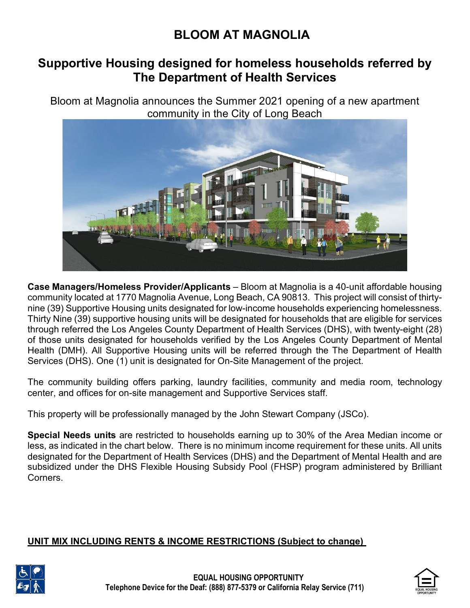# **BLOOM AT MAGNOLIA**

## **Supportive Housing designed for homeless households referred by The Department of Health Services**

Bloom at Magnolia announces the Summer 2021 opening of a new apartment community in the City of Long Beach



**Case Managers/Homeless Provider/Applicants** – Bloom at Magnolia is a 40-unit affordable housing community located at 1770 Magnolia Avenue, Long Beach, CA 90813. This project will consist of thirtynine (39) Supportive Housing units designated for low-income households experiencing homelessness. Thirty Nine (39) supportive housing units will be designated for households that are eligible for services through referred the Los Angeles County Department of Health Services (DHS), with twenty-eight (28) of those units designated for households verified by the Los Angeles County Department of Mental Health (DMH). All Supportive Housing units will be referred through the The Department of Health Services (DHS). One (1) unit is designated for On-Site Management of the project.

The community building offers parking, laundry facilities, community and media room, technology center, and offices for on-site management and Supportive Services staff.

This property will be professionally managed by the John Stewart Company (JSCo).

**Special Needs units** are restricted to households earning up to 30% of the Area Median income or less, as indicated in the chart below. There is no minimum income requirement for these units. All units designated for the Department of Health Services (DHS) and the Department of Mental Health and are subsidized under the DHS Flexible Housing Subsidy Pool (FHSP) program administered by Brilliant Corners.

## **UNIT MIX INCLUDING RENTS & INCOME RESTRICTIONS (Subject to change)**



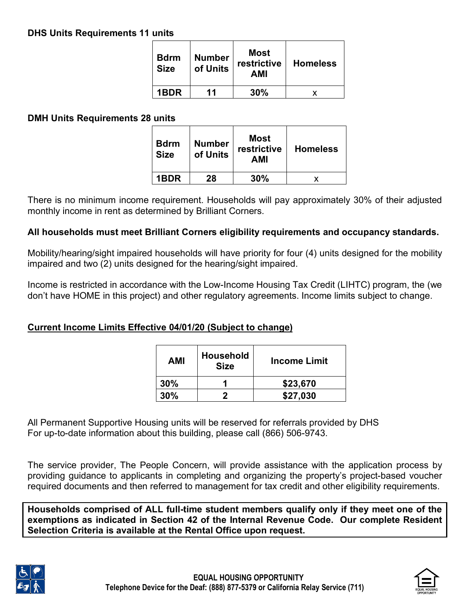## **DHS Units Requirements 11 units**

| <b>Bdrm</b><br><b>Size</b> | <b>Number</b><br>of Units | <b>Most</b><br>restrictive<br>AMI | <b>Homeless</b> |
|----------------------------|---------------------------|-----------------------------------|-----------------|
| 1BDR.                      | 11                        | 30%                               |                 |

## **DMH Units Requirements 28 units**

| <b>Bdrm</b><br><b>Size</b> | <b>Number</b><br>of Units | <b>Most</b><br>restrictive<br>AMI | <b>Homeless</b> |
|----------------------------|---------------------------|-----------------------------------|-----------------|
| 1BDR                       | 28                        | 30%                               |                 |

There is no minimum income requirement. Households will pay approximately 30% of their adjusted monthly income in rent as determined by Brilliant Corners.

## **All households must meet Brilliant Corners eligibility requirements and occupancy standards.**

Mobility/hearing/sight impaired households will have priority for four (4) units designed for the mobility impaired and two (2) units designed for the hearing/sight impaired.

Income is restricted in accordance with the Low-Income Housing Tax Credit (LIHTC) program, the (we don't have HOME in this project) and other regulatory agreements. Income limits subject to change.

## **Current Income Limits Effective 04/01/20 (Subject to change)**

| AMI | <b>Household</b><br><b>Size</b> | <b>Income Limit</b> |
|-----|---------------------------------|---------------------|
| 30% |                                 | \$23,670            |
| 30% |                                 | \$27,030            |

All Permanent Supportive Housing units will be reserved for referrals provided by DHS For up-to-date information about this building, please call (866) 506-9743.

The service provider, The People Concern, will provide assistance with the application process by providing guidance to applicants in completing and organizing the property's project-based voucher required documents and then referred to management for tax credit and other eligibility requirements.

**Households comprised of ALL full-time student members qualify only if they meet one of the exemptions as indicated in Section 42 of the Internal Revenue Code. Our complete Resident Selection Criteria is available at the Rental Office upon request.**